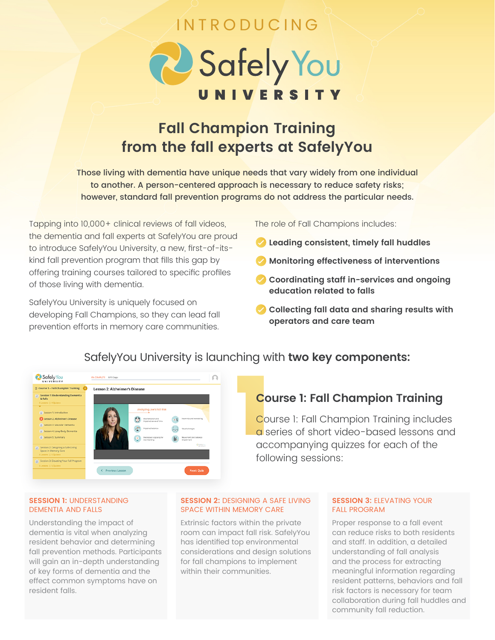## INTRODUCING

# 2 Safely You

## **Fall Champion Training from the fall experts at SafelyYou**

Those living with dementia have unique needs that vary widely from one individual to another. A person-centered approach is necessary to reduce safety risks; however, standard fall prevention programs do not address the particular needs.

Tapping into 10,000+ clinical reviews of fall videos, the dementia and fall experts at SafelyYou are proud to introduce SafelyYou University, a new, first-of-itskind fall prevention program that fills this gap by offering training courses tailored to specific profiles of those living with dementia.

SafelyYou University is uniquely focused on developing Fall Champions, so they can lead fall prevention efforts in memory care communities. The role of Fall Champions includes:

- **Leading consistent, timely fall huddles**
- **Monitoring effectiveness of interventions**
- **Coordinating staff in-services and ongoing education related to falls**
- **Collecting fall data and sharing results with operators and care team**



## SafelyYou University is launching with **two key components:**

### **Course 1: Fall Champion Training**

Course 1: Fall Champion Training includes a series of short video-based lessons and accompanying quizzes for each of the following sessions:

#### **SESSION 1:** UNDERSTANDING DEMENTIA AND FALLS

Understanding the impact of dementia is vital when analyzing resident behavior and determining fall prevention methods. Participants will gain an in-depth understanding of key forms of dementia and the effect common symptoms have on resident falls.

#### **SESSION 2: DESIGNING A SAFE LIVING** SPACE WITHIN MEMORY CARE

Extrinsic factors within the private room can impact fall risk. SafelyYou has identified top environmental considerations and design solutions for fall champions to implement within their communities.

#### **SESSION 3: ELEVATING YOUR** FALL PROGRAM

Proper response to a fall event can reduce risks to both residents and staff. In addition, a detailed understanding of fall analysis and the process for extracting meaningful information regarding resident patterns, behaviors and fall risk factors is necessary for team collaboration during fall huddles and community fall reduction.